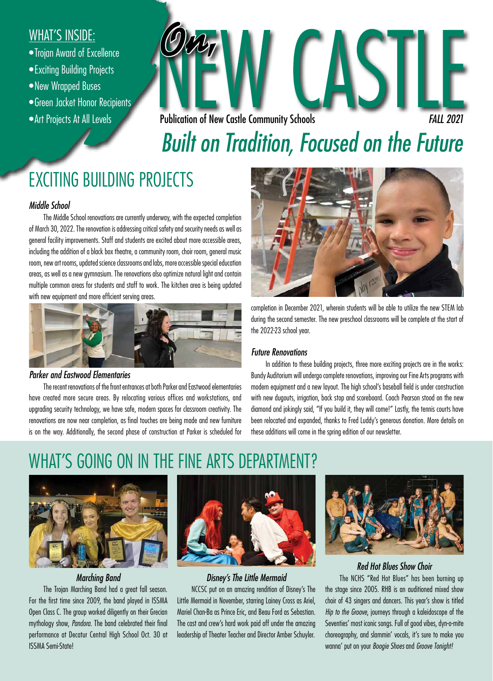### WHAT'S INSIDE:

- •Trojan Award of Excellence
- •Exciting Building Projects
- •New Wrapped Buses
- •Green Jacket Honor Recipients
- •Art Projects At All Levels



# *Built on Tradition, Focused on the Future*

# EXCITING BUILDING PROJECTS

#### *Middle School*

The Middle School renovations are currently underway, with the expected completion of March 30, 2022. The renovation is addressing critical safety and security needs as well as general facility improvements. Staff and students are excited about more accessible areas, including the addition of a black box theatre, a community room, choir room, general music room, new art rooms, updated science classrooms and labs, more accessible special education areas, as well as a new gymnasium. The renovations also optimize natural light and contain multiple common areas for students and staff to work. The kitchen area is being updated with new equipment and more efficient serving areas.



#### *Parker and Eastwood Elementaries*

The recent renovations of the front entrances at both Parker and Eastwood elementaries have created more secure areas. By relocating various offices and workstations, and upgrading security technology, we have safe, modern spaces for classroom creativity. The renovations are now near completion, as final touches are being made and new furniture is on the way. Additionally, the second phase of construction at Parker is scheduled for



completion in December 2021, wherein students will be able to utilize the new STEM lab during the second semester. The new preschool classrooms will be complete at the start of the 2022-23 school year.

#### *Future Renovations*

In addition to these building projects, three more exciting projects are in the works: Bundy Auditorium will undergo complete renovations, improving our Fine Arts programs with modern equipment and a new layout. The high school's baseball field is under construction with new dugouts, irrigation, back stop and scoreboard. Coach Pearson stood on the new diamond and jokingly said, "If you build it, they will come!" Lastly, the tennis courts have been relocated and expanded, thanks to Fred Luddy's generous donation. More details on these additions will come in the spring edition of our newsletter.

### WHAT'S GOING ON IN THE FINE ARTS DEPARTMENT?



#### *Marching Band*

The Trojan Marching Band had a great fall season. For the first time since 2009, the band played in ISSMA Open Class C. The group worked diligently on their Grecian mythology show, *Pandora*. The band celebrated their final performance at Decatur Central High School Oct. 30 at ISSMA Semi-State!



### *Disney's The Little Mermaid*

NCCSC put on an amazing rendition of Disney's The Little Mermaid in November, starring Lainey Cross as Ariel, Mariel Chan-Ba as Prince Eric, and Beau Ford as Sebastian. The cast and crew's hard work paid off under the amazing leadership of Theater Teacher and Director Amber Schuyler.



#### *Red Hot Blues Show Choir*

The NCHS "Red Hot Blues" has been burning up the stage since 2005. RHB is an auditioned mixed show choir of 43 singers and dancers. This year's show is titled *Hip to the Groove*, journeys through a kaleidoscope of the Seventies' most iconic songs. Full of good vibes, dyn-o-mite choreography, and slammin' vocals, it's sure to make you wanna' put on your *Boogie Shoes* and *Groove Tonight!*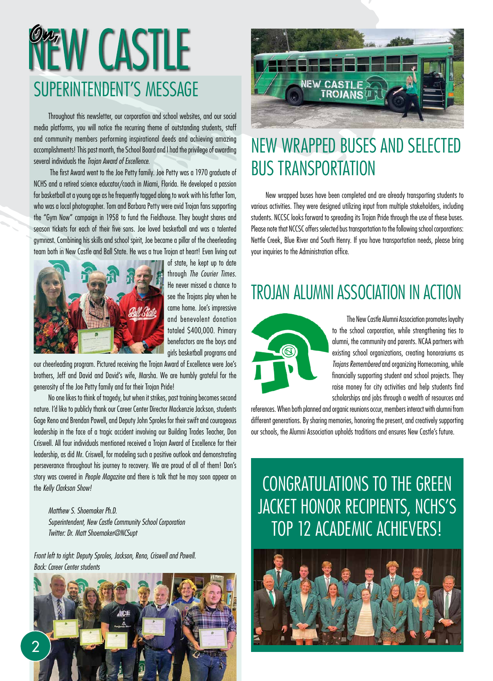# SUPERINTENDENT'S MESSAGE **WEW CASTLE**

Throughout this newsletter, our corporation and school websites, and our social media platforms, you will notice the recurring theme of outstanding students, staff and community members performing inspirational deeds and achieving amazing accomplishments! This past month, the School Board and I had the privilege of awarding several individuals the *Trojan Award of Excellence*.

 The first Award went to the Joe Petty family. Joe Petty was a 1970 graduate of NCHS and a retired science educator/coach in Miami, Florida. He developed a passion for basketball at a young age as he frequently tagged along to work with his father Tom, who was a local photographer. Tom and Barbara Petty were avid Trojan fans supporting the "Gym Now" campaign in 1958 to fund the Fieldhouse. They bought shares and season tickets for each of their five sons. Joe loved basketball and was a talented gymnast. Combining his skills and school spirit, Joe became a pillar of the cheerleading team both in New Castle and Ball State. He was a true Trojan at heart! Even living out



of state, he kept up to date through *The Courier Times*. He never missed a chance to see the Trojans play when he came home. Joe's impressive and benevolent donation totaled \$400,000. Primary benefactors are the boys and girls basketball programs and

our cheerleading program. Pictured receiving the Trojan Award of Excellence were Joe's brothers, Jeff and David and David's wife, Marsha. We are humbly grateful for the generosity of the Joe Petty family and for their Trojan Pride!

No one likes to think of tragedy, but when it strikes, past training becomes second nature. I'd like to publicly thank our Career Center Director Mackenzie Jackson, students Gage Reno and Brendan Powell, and Deputy John Sproles for their swift and courageous leadership in the face of a tragic accident involving our Building Trades Teacher, Don Criswell. All four individuals mentioned received a Trojan Award of Excellence for their leadership, as did Mr. Criswell, for modeling such a positive outlook and demonstrating perseverance throughout his journey to recovery. We are proud of all of them! Don's story was covered in *People Magazine* and there is talk that he may soon appear on the *Kelly Clarkson Show!*

*Matthew S. Shoemaker Ph.D. Superintendent, New Castle Community School Corporation Twitter: Dr. Matt Shoemaker@NCSupt*

*Front left to right: Deputy Sproles, Jackson, Reno, Criswell and Powell. Back: Career Center students*





### NEW WRAPPED BUSES AND SELECTED BUS TRANSPORTATION

New wrapped buses have been completed and are already transporting students to various activities. They were designed utilizing input from multiple stakeholders, including students. NCCSC looks forward to spreading its Trojan Pride through the use of these buses. Please note that NCCSC offers selected bus transportation to the following school corporations: Nettle Creek, Blue River and South Henry. If you have transportation needs, please bring your inquiries to the Administration office.

### TROJAN ALUMNI ASSOCIATION IN ACTION



The New Castle Alumni Association promotes loyalty to the school corporation, while strengthening ties to alumni, the community and parents. NCAA partners with existing school organizations, creating honorariums as *Trojans Remembered* and organizing Homecoming, while financially supporting student and school projects. They raise money for city activities and help students find scholarships and jobs through a wealth of resources and

references. When both planned and organic reunions occur, members interact with alumni from different generations. By sharing memories, honoring the present, and creatively supporting our schools, the Alumni Association upholds traditions and ensures New Castle's future.

# CONGRATULATIONS TO THE GREEN JACKET HONOR RECIPIENTS, NCHS'S TOP 12 ACADEMIC ACHIEVERS!

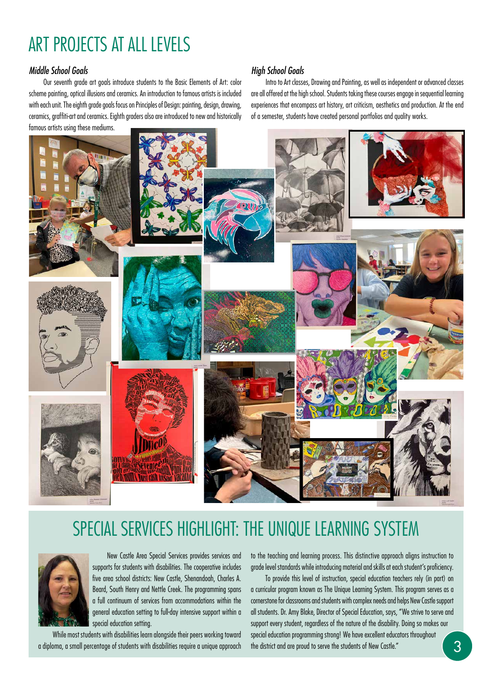# ART PROJECTS AT ALL LEVELS

#### *Middle School Goals*

Our seventh grade art goals introduce students to the Basic Elements of Art: color scheme painting, optical illusions and ceramics. An introduction to famous artists is included with each unit. The eighth grade goals focus on Principles of Design: painting, design, drawing, ceramics, graffiti-art and ceramics. Eighth graders also are introduced to new and historically famous artists using these mediums.

#### *High School Goals*

Intro to Art classes, Drawing and Painting, as well as independent or advanced classes are all offered at the high school. Students taking these courses engage in sequential learning experiences that encompass art history, art criticism, aesthetics and production. At the end of a semester, students have created personal portfolios and quality works.



### SPECIAL SERVICES HIGHLIGHT: THE UNIQUE LEARNING SYSTEM



New Castle Area Special Services provides services and supports for students with disabilities. The cooperative includes five area school districts: New Castle, Shenandoah, Charles A. Beard, South Henry and Nettle Creek. The programming spans a full continuum of services from accommodations within the general education setting to full-day intensive support within a special education setting.

While most students with disabilities learn alongside their peers working toward a diploma, a small percentage of students with disabilities require a unique approach

to the teaching and learning process. This distinctive approach aligns instruction to grade level standards while introducing material and skills at each student's proficiency.

To provide this level of instruction, special education teachers rely (in part) on a curricular program known as The Unique Learning System. This program serves as a cornerstone for classrooms and students with complex needs and helps New Castle support all students. Dr. Amy Blake, Director of Special Education, says, "We strive to serve and support every student, regardless of the nature of the disability. Doing so makes our special education programming strong! We have excellent educators throughout the district and are proud to serve the students of New Castle."